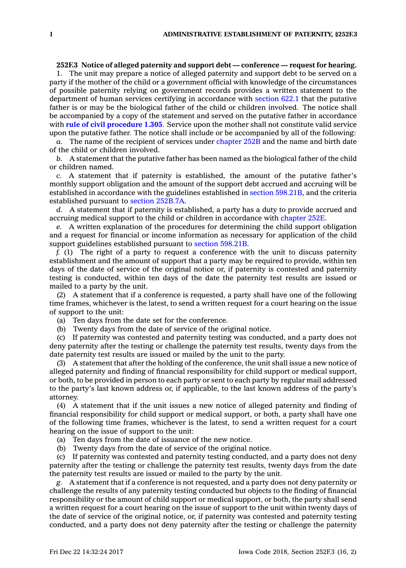## **252F.3 Notice of alleged paternity and support debt — conference — request for hearing.**

1. The unit may prepare <sup>a</sup> notice of alleged paternity and support debt to be served on <sup>a</sup> party if the mother of the child or <sup>a</sup> government official with knowledge of the circumstances of possible paternity relying on government records provides <sup>a</sup> written statement to the department of human services certifying in accordance with [section](https://www.legis.iowa.gov/docs/code/622.1.pdf) 622.1 that the putative father is or may be the biological father of the child or children involved. The notice shall be accompanied by <sup>a</sup> copy of the statement and served on the putative father in accordance with **rule of civil [procedure](https://www.legis.iowa.gov/docs/ACO/CourtRulesChapter/1.pdf) 1.305**. Service upon the mother shall not constitute valid service upon the putative father. The notice shall include or be accompanied by all of the following:

*a.* The name of the recipient of services under [chapter](https://www.legis.iowa.gov/docs/code//252B.pdf) 252B and the name and birth date of the child or children involved.

*b.* A statement that the putative father has been named as the biological father of the child or children named.

*c.* A statement that if paternity is established, the amount of the putative father's monthly support obligation and the amount of the support debt accrued and accruing will be established in accordance with the guidelines established in section [598.21B](https://www.legis.iowa.gov/docs/code/598.21B.pdf), and the criteria established pursuant to section [252B.7A](https://www.legis.iowa.gov/docs/code/252B.7A.pdf).

*d.* A statement that if paternity is established, <sup>a</sup> party has <sup>a</sup> duty to provide accrued and accruing medical support to the child or children in accordance with [chapter](https://www.legis.iowa.gov/docs/code//252E.pdf) 252E.

*e.* A written explanation of the procedures for determining the child support obligation and <sup>a</sup> request for financial or income information as necessary for application of the child support guidelines established pursuant to section [598.21B](https://www.legis.iowa.gov/docs/code/598.21B.pdf).

*f.* (1) The right of <sup>a</sup> party to request <sup>a</sup> conference with the unit to discuss paternity establishment and the amount of support that <sup>a</sup> party may be required to provide, within ten days of the date of service of the original notice or, if paternity is contested and paternity testing is conducted, within ten days of the date the paternity test results are issued or mailed to <sup>a</sup> party by the unit.

(2) A statement that if <sup>a</sup> conference is requested, <sup>a</sup> party shall have one of the following time frames, whichever is the latest, to send <sup>a</sup> written request for <sup>a</sup> court hearing on the issue of support to the unit:

(a) Ten days from the date set for the conference.

(b) Twenty days from the date of service of the original notice.

(c) If paternity was contested and paternity testing was conducted, and <sup>a</sup> party does not deny paternity after the testing or challenge the paternity test results, twenty days from the date paternity test results are issued or mailed by the unit to the party.

(3) A statement that after the holding of the conference, the unit shall issue <sup>a</sup> new notice of alleged paternity and finding of financial responsibility for child support or medical support, or both, to be provided in person to each party or sent to each party by regular mail addressed to the party's last known address or, if applicable, to the last known address of the party's attorney.

(4) A statement that if the unit issues <sup>a</sup> new notice of alleged paternity and finding of financial responsibility for child support or medical support, or both, <sup>a</sup> party shall have one of the following time frames, whichever is the latest, to send <sup>a</sup> written request for <sup>a</sup> court hearing on the issue of support to the unit:

(a) Ten days from the date of issuance of the new notice.

(b) Twenty days from the date of service of the original notice.

(c) If paternity was contested and paternity testing conducted, and <sup>a</sup> party does not deny paternity after the testing or challenge the paternity test results, twenty days from the date the paternity test results are issued or mailed to the party by the unit.

*g.* A statement that if <sup>a</sup> conference is not requested, and <sup>a</sup> party does not deny paternity or challenge the results of any paternity testing conducted but objects to the finding of financial responsibility or the amount of child support or medical support, or both, the party shall send <sup>a</sup> written request for <sup>a</sup> court hearing on the issue of support to the unit within twenty days of the date of service of the original notice, or, if paternity was contested and paternity testing conducted, and <sup>a</sup> party does not deny paternity after the testing or challenge the paternity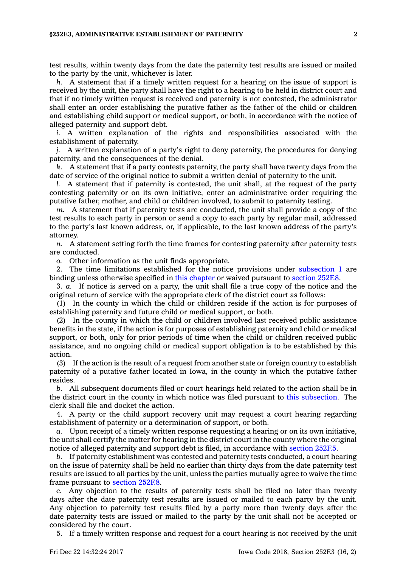test results, within twenty days from the date the paternity test results are issued or mailed to the party by the unit, whichever is later.

*h.* A statement that if <sup>a</sup> timely written request for <sup>a</sup> hearing on the issue of support is received by the unit, the party shall have the right to <sup>a</sup> hearing to be held in district court and that if no timely written request is received and paternity is not contested, the administrator shall enter an order establishing the putative father as the father of the child or children and establishing child support or medical support, or both, in accordance with the notice of alleged paternity and support debt.

*i.* A written explanation of the rights and responsibilities associated with the establishment of paternity.

*j.* A written explanation of <sup>a</sup> party's right to deny paternity, the procedures for denying paternity, and the consequences of the denial.

*k.* A statement that if <sup>a</sup> party contests paternity, the party shall have twenty days from the date of service of the original notice to submit <sup>a</sup> written denial of paternity to the unit.

*l.* A statement that if paternity is contested, the unit shall, at the request of the party contesting paternity or on its own initiative, enter an administrative order requiring the putative father, mother, and child or children involved, to submit to paternity testing.

*m.* A statement that if paternity tests are conducted, the unit shall provide <sup>a</sup> copy of the test results to each party in person or send <sup>a</sup> copy to each party by regular mail, addressed to the party's last known address, or, if applicable, to the last known address of the party's attorney.

*n.* A statement setting forth the time frames for contesting paternity after paternity tests are conducted.

*o.* Other information as the unit finds appropriate.

2. The time limitations established for the notice provisions under [subsection](https://www.legis.iowa.gov/docs/code/252F.3.pdf) 1 are binding unless otherwise specified in this [chapter](https://www.legis.iowa.gov/docs/code//252F.pdf) or waived pursuant to [section](https://www.legis.iowa.gov/docs/code/252F.8.pdf) 252F.8.

3. *a.* If notice is served on <sup>a</sup> party, the unit shall file <sup>a</sup> true copy of the notice and the original return of service with the appropriate clerk of the district court as follows:

(1) In the county in which the child or children reside if the action is for purposes of establishing paternity and future child or medical support, or both.

(2) In the county in which the child or children involved last received public assistance benefits in the state, if the action is for purposes of establishing paternity and child or medical support, or both, only for prior periods of time when the child or children received public assistance, and no ongoing child or medical support obligation is to be established by this action.

(3) If the action is the result of <sup>a</sup> request from another state or foreign country to establish paternity of <sup>a</sup> putative father located in Iowa, in the county in which the putative father resides.

*b.* All subsequent documents filed or court hearings held related to the action shall be in the district court in the county in which notice was filed pursuant to this [subsection](https://www.legis.iowa.gov/docs/code/252F.3.pdf). The clerk shall file and docket the action.

4. A party or the child support recovery unit may request <sup>a</sup> court hearing regarding establishment of paternity or <sup>a</sup> determination of support, or both.

*a.* Upon receipt of <sup>a</sup> timely written response requesting <sup>a</sup> hearing or on its own initiative, the unit shall certify the matter for hearing in the district court in the county where the original notice of alleged paternity and support debt is filed, in accordance with [section](https://www.legis.iowa.gov/docs/code/252F.5.pdf) 252F.5.

*b.* If paternity establishment was contested and paternity tests conducted, <sup>a</sup> court hearing on the issue of paternity shall be held no earlier than thirty days from the date paternity test results are issued to all parties by the unit, unless the parties mutually agree to waive the time frame pursuant to [section](https://www.legis.iowa.gov/docs/code/252F.8.pdf) 252F.8.

*c.* Any objection to the results of paternity tests shall be filed no later than twenty days after the date paternity test results are issued or mailed to each party by the unit. Any objection to paternity test results filed by <sup>a</sup> party more than twenty days after the date paternity tests are issued or mailed to the party by the unit shall not be accepted or considered by the court.

5. If <sup>a</sup> timely written response and request for <sup>a</sup> court hearing is not received by the unit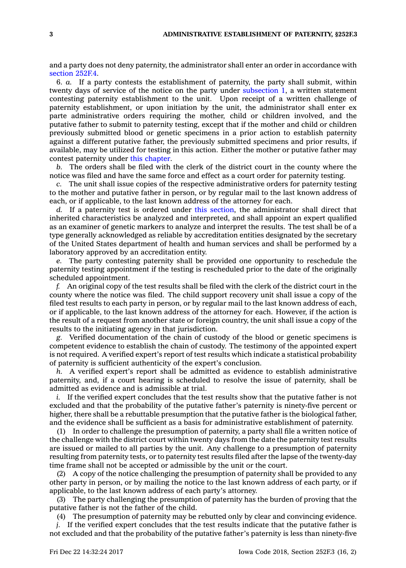and <sup>a</sup> party does not deny paternity, the administrator shall enter an order in accordance with [section](https://www.legis.iowa.gov/docs/code/252F.4.pdf) 252F.4.

6. *a.* If <sup>a</sup> party contests the establishment of paternity, the party shall submit, within twenty days of service of the notice on the party under [subsection](https://www.legis.iowa.gov/docs/code/252F.3.pdf) 1, <sup>a</sup> written statement contesting paternity establishment to the unit. Upon receipt of <sup>a</sup> written challenge of paternity establishment, or upon initiation by the unit, the administrator shall enter ex parte administrative orders requiring the mother, child or children involved, and the putative father to submit to paternity testing, except that if the mother and child or children previously submitted blood or genetic specimens in <sup>a</sup> prior action to establish paternity against <sup>a</sup> different putative father, the previously submitted specimens and prior results, if available, may be utilized for testing in this action. Either the mother or putative father may contest paternity under this [chapter](https://www.legis.iowa.gov/docs/code//252F.pdf).

*b.* The orders shall be filed with the clerk of the district court in the county where the notice was filed and have the same force and effect as <sup>a</sup> court order for paternity testing.

*c.* The unit shall issue copies of the respective administrative orders for paternity testing to the mother and putative father in person, or by regular mail to the last known address of each, or if applicable, to the last known address of the attorney for each.

*d.* If <sup>a</sup> paternity test is ordered under this [section](https://www.legis.iowa.gov/docs/code/252F.3.pdf), the administrator shall direct that inherited characteristics be analyzed and interpreted, and shall appoint an expert qualified as an examiner of genetic markers to analyze and interpret the results. The test shall be of <sup>a</sup> type generally acknowledged as reliable by accreditation entities designated by the secretary of the United States department of health and human services and shall be performed by <sup>a</sup> laboratory approved by an accreditation entity.

*e.* The party contesting paternity shall be provided one opportunity to reschedule the paternity testing appointment if the testing is rescheduled prior to the date of the originally scheduled appointment.

*f.* An original copy of the test results shall be filed with the clerk of the district court in the county where the notice was filed. The child support recovery unit shall issue <sup>a</sup> copy of the filed test results to each party in person, or by regular mail to the last known address of each, or if applicable, to the last known address of the attorney for each. However, if the action is the result of <sup>a</sup> request from another state or foreign country, the unit shall issue <sup>a</sup> copy of the results to the initiating agency in that jurisdiction.

*g.* Verified documentation of the chain of custody of the blood or genetic specimens is competent evidence to establish the chain of custody. The testimony of the appointed expert is not required. A verified expert's report of test results which indicate <sup>a</sup> statistical probability of paternity is sufficient authenticity of the expert's conclusion.

*h.* A verified expert's report shall be admitted as evidence to establish administrative paternity, and, if <sup>a</sup> court hearing is scheduled to resolve the issue of paternity, shall be admitted as evidence and is admissible at trial.

*i.* If the verified expert concludes that the test results show that the putative father is not excluded and that the probability of the putative father's paternity is ninety-five percent or higher, there shall be <sup>a</sup> rebuttable presumption that the putative father is the biological father, and the evidence shall be sufficient as <sup>a</sup> basis for administrative establishment of paternity.

(1) In order to challenge the presumption of paternity, <sup>a</sup> party shall file <sup>a</sup> written notice of the challenge with the district court within twenty days from the date the paternity test results are issued or mailed to all parties by the unit. Any challenge to <sup>a</sup> presumption of paternity resulting from paternity tests, or to paternity test results filed after the lapse of the twenty-day time frame shall not be accepted or admissible by the unit or the court.

(2) A copy of the notice challenging the presumption of paternity shall be provided to any other party in person, or by mailing the notice to the last known address of each party, or if applicable, to the last known address of each party's attorney.

(3) The party challenging the presumption of paternity has the burden of proving that the putative father is not the father of the child.

(4) The presumption of paternity may be rebutted only by clear and convincing evidence.

*j.* If the verified expert concludes that the test results indicate that the putative father is not excluded and that the probability of the putative father's paternity is less than ninety-five